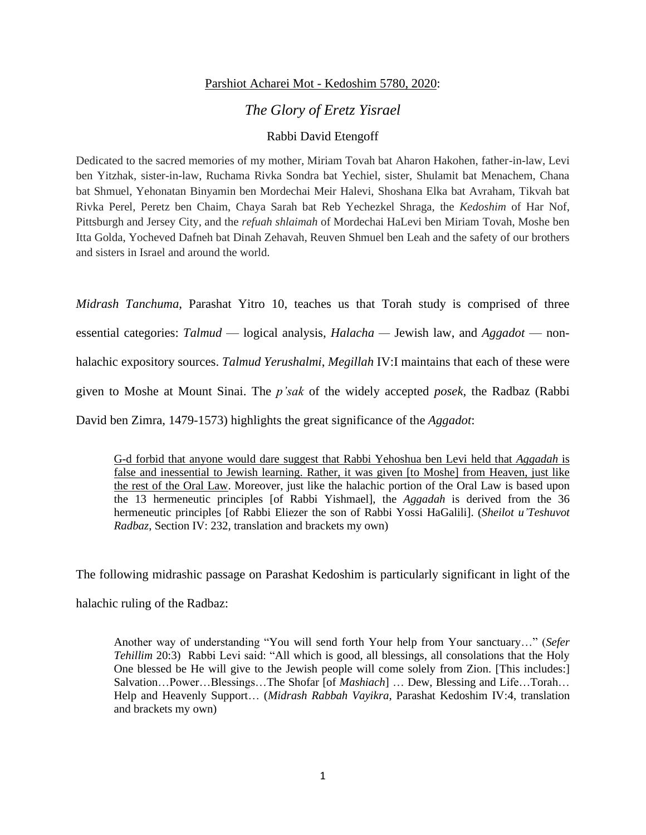## Parshiot Acharei Mot - Kedoshim 5780, 2020:

## *The Glory of Eretz Yisrael*

## Rabbi David Etengoff

Dedicated to the sacred memories of my mother, Miriam Tovah bat Aharon Hakohen, father-in-law, Levi ben Yitzhak, sister-in-law, Ruchama Rivka Sondra bat Yechiel, sister, Shulamit bat Menachem, Chana bat Shmuel, Yehonatan Binyamin ben Mordechai Meir Halevi, Shoshana Elka bat Avraham, Tikvah bat Rivka Perel, Peretz ben Chaim, Chaya Sarah bat Reb Yechezkel Shraga, the *Kedoshim* of Har Nof, Pittsburgh and Jersey City, and the *refuah shlaimah* of Mordechai HaLevi ben Miriam Tovah, Moshe ben Itta Golda, Yocheved Dafneh bat Dinah Zehavah, Reuven Shmuel ben Leah and the safety of our brothers and sisters in Israel and around the world.

*Midrash Tanchuma*, Parashat Yitro 10, teaches us that Torah study is comprised of three essential categories: *Talmud* — logical analysis, *Halacha —* Jewish law, and *Aggadot* — nonhalachic expository sources. *Talmud Yerushalmi*, *Megillah* IV:I maintains that each of these were given to Moshe at Mount Sinai. The *p'sak* of the widely accepted *posek*, the Radbaz (Rabbi David ben Zimra, 1479-1573) highlights the great significance of the *Aggadot*:

G-d forbid that anyone would dare suggest that Rabbi Yehoshua ben Levi held that *Aggadah* is false and inessential to Jewish learning. Rather, it was given [to Moshe] from Heaven, just like the rest of the Oral Law. Moreover, just like the halachic portion of the Oral Law is based upon the 13 hermeneutic principles [of Rabbi Yishmael], the *Aggadah* is derived from the 36 hermeneutic principles [of Rabbi Eliezer the son of Rabbi Yossi HaGalili]. (*Sheilot u'Teshuvot Radbaz*, Section IV: 232, translation and brackets my own)

The following midrashic passage on Parashat Kedoshim is particularly significant in light of the

halachic ruling of the Radbaz:

Another way of understanding "You will send forth Your help from Your sanctuary…" (*Sefer Tehillim* 20:3) Rabbi Levi said: "All which is good, all blessings, all consolations that the Holy One blessed be He will give to the Jewish people will come solely from Zion. [This includes:] Salvation…Power…Blessings…The Shofar [of *Mashiach*] … Dew, Blessing and Life…Torah… Help and Heavenly Support… (*Midrash Rabbah Vayikra*, Parashat Kedoshim IV:4, translation and brackets my own)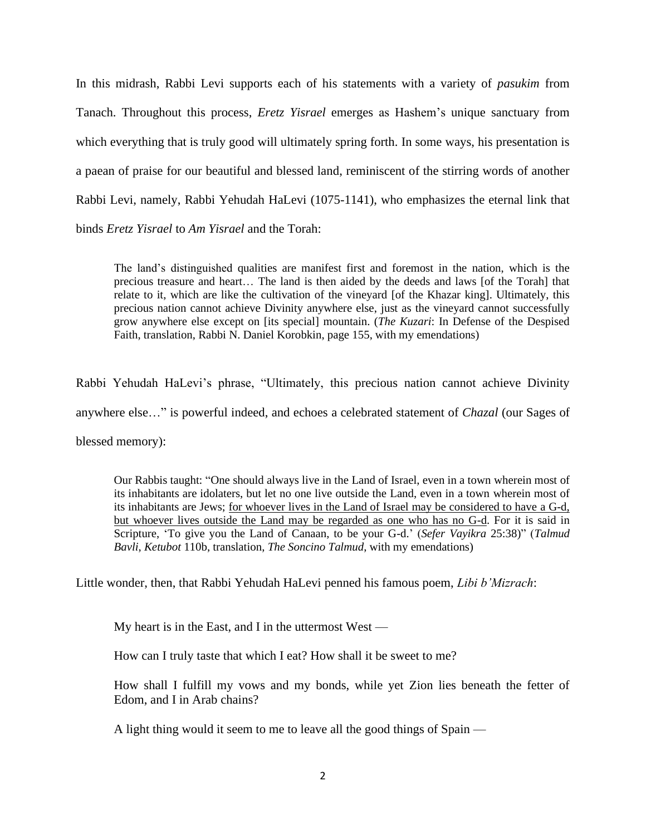In this midrash, Rabbi Levi supports each of his statements with a variety of *pasukim* from Tanach. Throughout this process, *Eretz Yisrael* emerges as Hashem's unique sanctuary from which everything that is truly good will ultimately spring forth. In some ways, his presentation is a paean of praise for our beautiful and blessed land, reminiscent of the stirring words of another Rabbi Levi, namely, Rabbi Yehudah HaLevi (1075-1141), who emphasizes the eternal link that binds *Eretz Yisrael* to *Am Yisrael* and the Torah:

The land's distinguished qualities are manifest first and foremost in the nation, which is the precious treasure and heart… The land is then aided by the deeds and laws [of the Torah] that relate to it, which are like the cultivation of the vineyard [of the Khazar king]. Ultimately, this precious nation cannot achieve Divinity anywhere else, just as the vineyard cannot successfully grow anywhere else except on [its special] mountain. (*The Kuzari*: In Defense of the Despised Faith, translation, Rabbi N. Daniel Korobkin, page 155, with my emendations)

Rabbi Yehudah HaLevi's phrase, "Ultimately, this precious nation cannot achieve Divinity anywhere else…" is powerful indeed, and echoes a celebrated statement of *Chazal* (our Sages of blessed memory):

Our Rabbis taught: "One should always live in the Land of Israel, even in a town wherein most of its inhabitants are idolaters, but let no one live outside the Land, even in a town wherein most of its inhabitants are Jews; for whoever lives in the Land of Israel may be considered to have a G-d, but whoever lives outside the Land may be regarded as one who has no G-d. For it is said in Scripture, 'To give you the Land of Canaan, to be your G-d.' (*Sefer Vayikra* 25:38)" (*Talmud Bavli*, *Ketubot* 110b, translation, *The Soncino Talmud*, with my emendations)

Little wonder, then, that Rabbi Yehudah HaLevi penned his famous poem, *Libi b'Mizrach*:

My heart is in the East, and I in the uttermost West —

How can I truly taste that which I eat? How shall it be sweet to me?

How shall I fulfill my vows and my bonds, while yet Zion lies beneath the fetter of Edom, and I in Arab chains?

A light thing would it seem to me to leave all the good things of Spain —